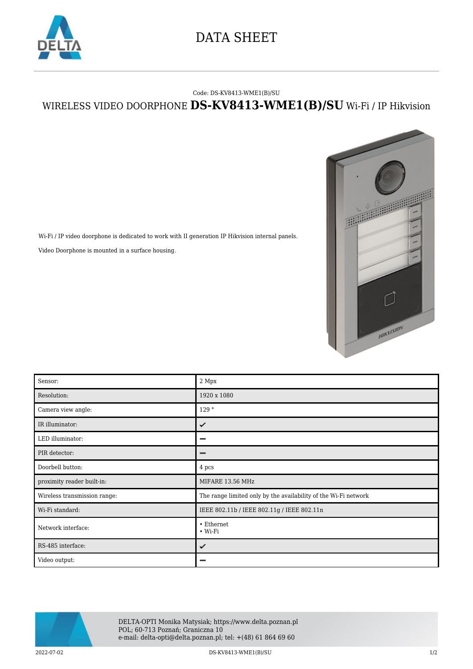

## DATA SHEET

## Code: DS-KV8413-WME1(B)/SU

## WIRELESS VIDEO DOORPHONE **DS-KV8413-WME1(B)/SU** Wi-Fi / IP Hikvision



Wi-Fi / IP video doorphone is dedicated to work with II generation IP Hikvision internal panels. Video Doorphone is mounted in a surface housing.

| Sensor:                      | 2 Mpx                                                           |
|------------------------------|-----------------------------------------------------------------|
| Resolution:                  | 1920 x 1080                                                     |
| Camera view angle:           | 129°                                                            |
| IR illuminator:              | ✓                                                               |
| LED illuminator:             |                                                                 |
| PIR detector:                |                                                                 |
| Doorbell button:             | 4 pcs                                                           |
| proximity reader built-in:   | MIFARE 13.56 MHz                                                |
| Wireless transmission range: | The range limited only by the availability of the Wi-Fi network |
| Wi-Fi standard:              | IEEE 802.11b / IEEE 802.11g / IEEE 802.11n                      |
| Network interface:           | • Ethernet<br>$\bullet$ Wi-Fi                                   |
| RS-485 interface:            | ✓                                                               |
| Video output:                |                                                                 |



DELTA-OPTI Monika Matysiak; https://www.delta.poznan.pl POL; 60-713 Poznań; Graniczna 10 e-mail: delta-opti@delta.poznan.pl; tel: +(48) 61 864 69 60